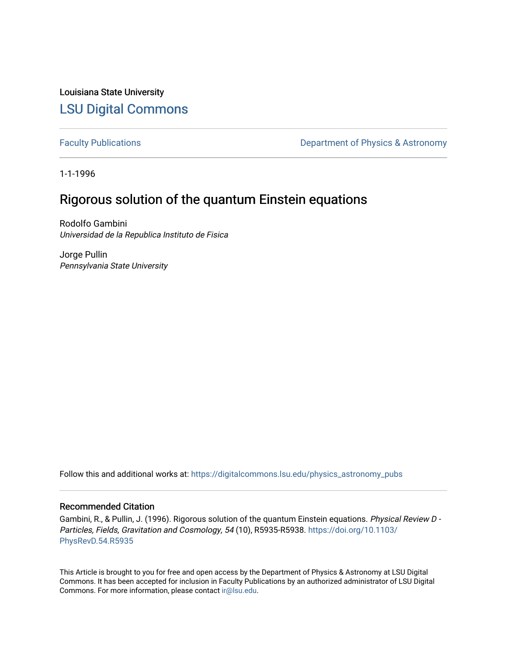Louisiana State University [LSU Digital Commons](https://digitalcommons.lsu.edu/)

[Faculty Publications](https://digitalcommons.lsu.edu/physics_astronomy_pubs) **Exercise 2** Constant Department of Physics & Astronomy

1-1-1996

## Rigorous solution of the quantum Einstein equations

Rodolfo Gambini Universidad de la Republica Instituto de Fisica

Jorge Pullin Pennsylvania State University

Follow this and additional works at: [https://digitalcommons.lsu.edu/physics\\_astronomy\\_pubs](https://digitalcommons.lsu.edu/physics_astronomy_pubs?utm_source=digitalcommons.lsu.edu%2Fphysics_astronomy_pubs%2F4439&utm_medium=PDF&utm_campaign=PDFCoverPages) 

## Recommended Citation

Gambini, R., & Pullin, J. (1996). Rigorous solution of the quantum Einstein equations. Physical Review D - Particles, Fields, Gravitation and Cosmology, 54 (10), R5935-R5938. [https://doi.org/10.1103/](https://doi.org/10.1103/PhysRevD.54.R5935) [PhysRevD.54.R5935](https://doi.org/10.1103/PhysRevD.54.R5935)

This Article is brought to you for free and open access by the Department of Physics & Astronomy at LSU Digital Commons. It has been accepted for inclusion in Faculty Publications by an authorized administrator of LSU Digital Commons. For more information, please contact [ir@lsu.edu](mailto:ir@lsu.edu).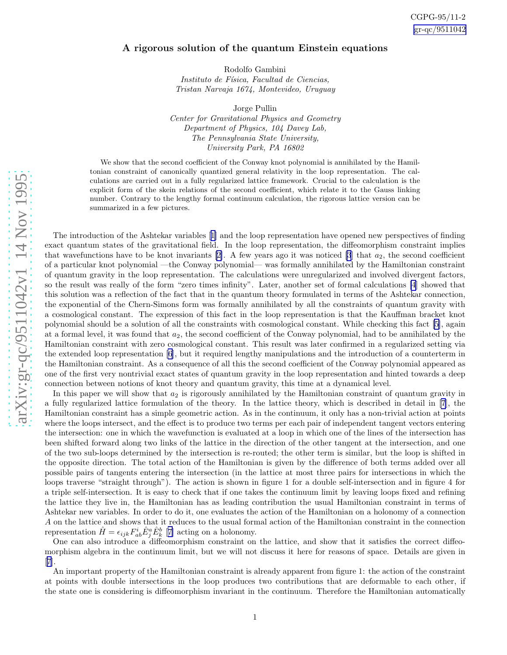## A rigorous solution of the quantum Einstein equations

Rodolfo Gambini Instituto de Física, Facultad de Ciencias, Tristan Narvaja 1674, Montevideo, Uruguay

Jorge Pullin Center for Gravitational Physics and Geometry Department of Physics, 104 Davey Lab, The Pennsylvania State University, University Park, PA 16802

We show that the second coefficient of the Conway knot polynomial is annihilated by the Hamiltonian constraint of canonically quantized general relativity in the loop representation. The calculations are carried out in a fully regularized lattice framework. Crucial to the calculation is the explicit form of the skein relations of the second coefficient, which relate it to the Gauss linking number. Contrary to the lengthy formal continuum calculation, the rigorous lattice version can be summarized in a few pictures.

The introduction of the Ashtekar variables[[1\]](#page-4-0) and the loop representation have opened new perspectives of finding exact quantum states of the gravitational field. In the loop representation, the diffeomorphism constraint implies thatwavefunctions have to be knot invariants [[2\]](#page-4-0). A few years ago it was noticed [\[3](#page-4-0)] that  $a_2$ , the second coefficient of a particular knot polynomial —the Conway polynomial— was formally annihilated by the Hamiltonian constraint of quantum gravity in the loop representation. The calculations were unregularized and involved divergent factors, so the result was really of the form "zero times infinity". Later, another set of formal calculations [\[4](#page-4-0)] showed that this solution was a reflection of the fact that in the quantum theory formulated in terms of the Ashtekar connection, the exponential of the Chern-Simons form was formally annihilated by all the constraints of quantum gravity with a cosmological constant. The expression of this fact in the loop representation is that the Kauffman bracket knot polynomial should be a solution of all the constraints with cosmological constant. While checking this fact[[5](#page-4-0)], again at a formal level, it was found that  $a_2$ , the second coefficient of the Conway polynomial, had to be annihilated by the Hamiltonian constraint with zero cosmological constant. This result was later confirmed in a regularized setting via the extended loop representation [\[6](#page-4-0)], but it required lengthy manipulations and the introduction of a counterterm in the Hamiltonian constraint. As a consequence of all this the second coefficient of the Conway polynomial appeared as one of the first very nontrivial exact states of quantum gravity in the loop representation and hinted towards a deep connection between notions of knot theory and quantum gravity, this time at a dynamical level.

In this paper we will show that  $a_2$  is rigorously annihilated by the Hamiltonian constraint of quantum gravity in a fully regularized lattice formulation of the theory. In the lattice theory, which is described in detail in [\[7](#page-4-0)], the Hamiltonian constraint has a simple geometric action. As in the continuum, it only has a non-trivial action at points where the loops intersect, and the effect is to produce two terms per each pair of independent tangent vectors entering the intersection: one in which the wavefunction is evaluated at a loop in which one of the lines of the intersection has been shifted forward along two links of the lattice in the direction of the other tangent at the intersection, and one of the two sub-loops determined by the intersection is re-routed; the other term is similar, but the loop is shifted in the opposite direction. The total action of the Hamiltonian is given by the difference of both terms added over all possible pairs of tangents entering the intersection (in the lattice at most three pairs for intersections in which the loops traverse "straight through"). The action is shown in figure 1 for a double self-intersection and in figure 4 for a triple self-intersection. It is easy to check that if one takes the continuum limit by leaving loops fixed and refining the lattice they live in, the Hamiltonian has as leading contribution the usual Hamiltonian constraint in terms of Ashtekar new variables. In order to do it, one evaluates the action of the Hamiltonian on a holonomy of a connection A on the lattice and shows that it reduces to the usual formal action of the Hamiltonian constraint in the connection representation  $\hat{H} = \epsilon_{ijk} F_{ab}^i \hat{E}_j^a \hat{E}_k^b$  [[7\]](#page-4-0) acting on a holonomy.

One can also introduce a diffeomorphism constraint on the lattice, and show that it satisfies the correct diffeomorphism algebra in the continuum limit, but we will not discuss it here for reasons of space. Details are given in [[7\]](#page-4-0).

An important property of the Hamiltonian constraint is already apparent from figure 1: the action of the constraint at points with double intersections in the loop produces two contributions that are deformable to each other, if the state one is considering is diffeomorphism invariant in the continuum. Therefore the Hamiltonian automatically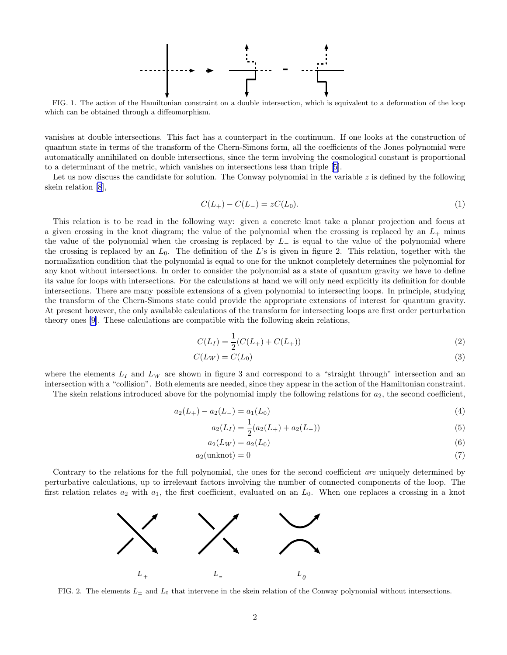

<span id="page-2-0"></span>FIG. 1. The action of the Hamiltonian constraint on a double intersection, which is equivalent to a deformation of the loop which can be obtained through a diffeomorphism.

vanishes at double intersections. This fact has a counterpart in the continuum. If one looks at the construction of quantum state in terms of the transform of the Chern-Simons form, all the coefficients of the Jones polynomial were automatically annihilated on double intersections, since the term involving the cosmological constant is proportional to a determinant of the metric, which vanishes on intersections less than triple[[5\]](#page-4-0).

Let us now discuss the candidate for solution. The Conway polynomial in the variable  $z$  is defined by the following skein relation [\[8](#page-4-0)],

$$
C(L_{+}) - C(L_{-}) = zC(L_{0}).
$$
\n(1)

This relation is to be read in the following way: given a concrete knot take a planar projection and focus at a given crossing in the knot diagram; the value of the polynomial when the crossing is replaced by an  $L_{+}$  minus the value of the polynomial when the crossing is replaced by  $L_-\,$  is equal to the value of the polynomial where the crossing is replaced by an  $L_0$ . The definition of the L's is given in figure 2. This relation, together with the normalization condition that the polynomial is equal to one for the unknot completely determines the polynomial for any knot without intersections. In order to consider the polynomial as a state of quantum gravity we have to define its value for loops with intersections. For the calculations at hand we will only need explicitly its definition for double intersections. There are many possible extensions of a given polynomial to intersecting loops. In principle, studying the transform of the Chern-Simons state could provide the appropriate extensions of interest for quantum gravity. At present however, the only available calculations of the transform for intersecting loops are first order perturbation theory ones [\[9](#page-4-0)]. These calculations are compatible with the following skein relations,

$$
C(L_I) = \frac{1}{2}(C(L_+) + C(L_+))
$$
\n(2)

$$
C(L_W) = C(L_0) \tag{3}
$$

where the elements  $L_I$  and  $L_W$  are shown in figure 3 and correspond to a "straight through" intersection and an intersection with a "collision". Both elements are needed, since they appear in the action of the Hamiltonian constraint.

The skein relations introduced above for the polynomial imply the following relations for  $a_2$ , the second coefficient,

$$
a_2(L_+) - a_2(L_-) = a_1(L_0)
$$
\n<sup>(4)</sup>

$$
a_2(L_I) = \frac{1}{2}(a_2(L_+) + a_2(L_-))
$$
\n(5)

$$
a_2(L_W) = a_2(L_0)
$$
\n(6)

$$
a_2(\text{unknot}) = 0\tag{7}
$$

Contrary to the relations for the full polynomial, the ones for the second coefficient are uniquely determined by perturbative calculations, up to irrelevant factors involving the number of connected components of the loop. The first relation relates  $a_2$  with  $a_1$ , the first coefficient, evaluated on an  $L_0$ . When one replaces a crossing in a knot



FIG. 2. The elements  $L_{\pm}$  and  $L_0$  that intervene in the skein relation of the Conway polynomial without intersections.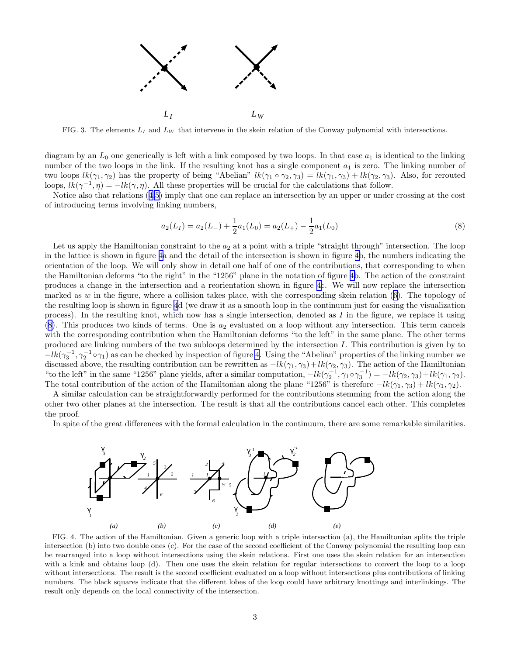

FIG. 3. The elements  $L_I$  and  $L_W$  that intervene in the skein relation of the Conway polynomial with intersections.

diagram by an  $L_0$  one generically is left with a link composed by two loops. In that case  $a_1$  is identical to the linking number of the two loops in the link. If the resulting knot has a single component  $a_1$  is zero. The linking number of two loops  $lk(\gamma_1, \gamma_2)$  has the property of being "Abelian"  $lk(\gamma_1 \circ \gamma_2, \gamma_3) = lk(\gamma_1, \gamma_3) + lk(\gamma_2, \gamma_3)$ . Also, for rerouted loops,  $lk(\gamma^{-1}, \eta) = -lk(\gamma, \eta)$ . All these properties will be crucial for the calculations that follow.

Notice also that relations([4,5](#page-2-0)) imply that one can replace an intersection by an upper or under crossing at the cost of introducing terms involving linking numbers,

$$
a_2(L_I) = a_2(L_{-}) + \frac{1}{2}a_1(L_0) = a_2(L_{+}) - \frac{1}{2}a_1(L_0)
$$
\n(8)

Let us apply the Hamiltonian constraint to the  $a_2$  at a point with a triple "straight through" intersection. The loop in the lattice is shown in figure 4a and the detail of the intersection is shown in figure 4b, the numbers indicating the orientation of the loop. We will only show in detail one half of one of the contributions, that corresponding to when the Hamiltonian deforms "to the right" in the "1256" plane in the notation of figure 4b. The action of the constraint produces a change in the intersection and a reorientation shown in figure 4c. We will now replace the intersection marked as w in the figure, where a collision takes place, with the corresponding skein relation  $(6)$ . The topology of the resulting loop is shown in figure 4d (we draw it as a smooth loop in the continuum just for easing the visualization process). In the resulting knot, which now has a single intersection, denoted as  $I$  in the figure, we replace it using  $(8)$ . This produces two kinds of terms. One is  $a_2$  evaluated on a loop without any intersection. This term cancels with the corresponding contribution when the Hamiltonian deforms "to the left" in the same plane. The other terms produced are linking numbers of the two subloops determined by the intersection I. This contribution is given by to  $-lk(\gamma_3^{-1}, \gamma_2^{-1} \circ \gamma_1)$  as can be checked by inspection of figure 4. Using the "Abelian" properties of the linking number we discussed above, the resulting contribution can be rewritten as  $-lk(\gamma_1, \gamma_3)+lk(\gamma_2, \gamma_3)$ . The action of the Hamiltonian "to the left" in the same "1256" plane yields, after a similar computation,  $-lk(\gamma_2^{-1}, \gamma_1 \circ \gamma_3^{-1}) = -lk(\gamma_2, \gamma_3) + lk(\gamma_1, \gamma_2)$ . The total contribution of the action of the Hamiltonian along the plane "1256" is therefore  $-lk(\gamma_1, \gamma_3) + lk(\gamma_1, \gamma_2)$ .

A similar calculation can be straightforwardly performed for the contributions stemming from the action along the other two other planes at the intersection. The result is that all the contributions cancel each other. This completes the proof.

In spite of the great differences with the formal calculation in the continuum, there are some remarkable similarities.



FIG. 4. The action of the Hamiltonian. Given a generic loop with a triple intersection (a), the Hamiltonian splits the triple intersection (b) into two double ones (c). For the case of the second coefficient of the Conway polynomial the resulting loop can be rearranged into a loop without intersections using the skein relations. First one uses the skein relation for an intersection with a kink and obtains loop (d). Then one uses the skein relation for regular intersections to convert the loop to a loop without intersections. The result is the second coefficient evaluated on a loop without intersections plus contributions of linking numbers. The black squares indicate that the different lobes of the loop could have arbitrary knottings and interlinkings. The result only depends on the local connectivity of the intersection.